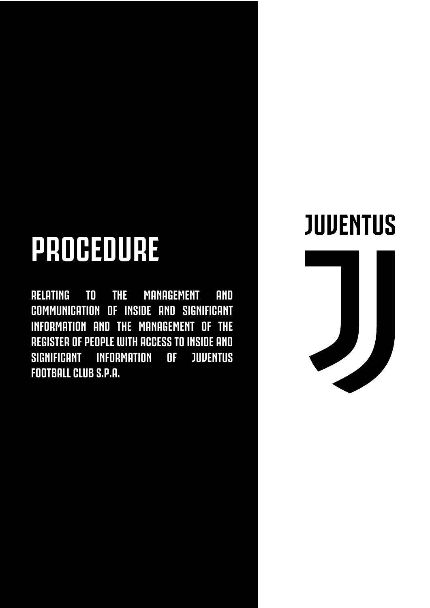# **PROCEDURE**

**RELATING TO THE MANAGEMENT AND COMMUNICATION OF INSIDE AND SIGNIFICANT INFORMATION AND THE MANAGEMENT OF THE REGISTER OF PEOPLE WITH ACCESS TO INSIDE AND SIGNIFICANT INFORMATION OF JUVENTUS FOOTBALL CLUB S.P.A.** 

## **JUVENTUS**

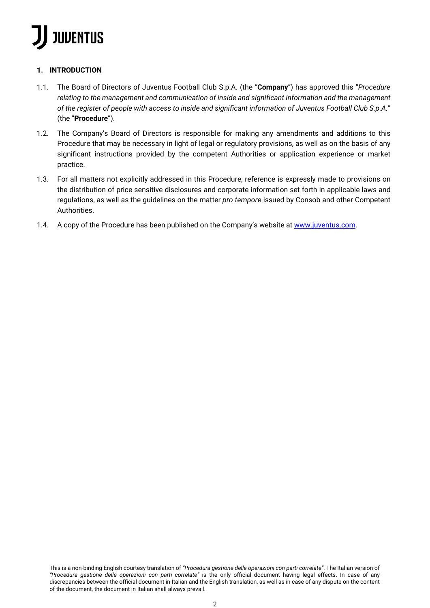### **1. INTRODUCTION**

- 1.1. The Board of Directors of Juventus Football Club S.p.A. (the "**Company**") has approved this "*Procedure relating to the management and communication of inside and significant information and the management of the register of people with access to inside and significant information of Juventus Football Club S.p.A.*" (the "**Procedure**").
- 1.2. The Company's Board of Directors is responsible for making any amendments and additions to this Procedure that may be necessary in light of legal or regulatory provisions, as well as on the basis of any significant instructions provided by the competent Authorities or application experience or market practice.
- 1.3. For all matters not explicitly addressed in this Procedure, reference is expressly made to provisions on the distribution of price sensitive disclosures and corporate information set forth in applicable laws and regulations, as well as the guidelines on the matter *pro tempore* issued by Consob and other Competent Authorities.
- 1.4. A copy of the Procedure has been published on the Company's website at www.juventus.com.

This is a non-binding English courtesy translation of *"Procedura gestione delle operazioni con parti correlate"*. The Italian version of *"Procedura gestione delle operazioni con parti correlate"* is the only official document having legal effects. In case of any discrepancies between the official document in Italian and the English translation, as well as in case of any dispute on the content of the document, the document in Italian shall always prevail.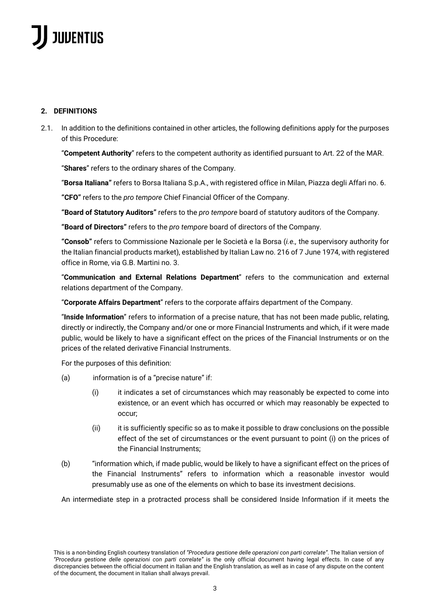### **2. DEFINITIONS**

2.1. In addition to the definitions contained in other articles, the following definitions apply for the purposes of this Procedure:

"**Competent Authority**" refers to the competent authority as identified pursuant to Art. 22 of the MAR.

"**Shares**" refers to the ordinary shares of the Company.

"**Borsa Italiana"** refers to Borsa Italiana S.p.A., with registered office in Milan, Piazza degli Affari no. 6.

**"CFO"** refers to the *pro tempore* Chief Financial Officer of the Company.

**"Board of Statutory Auditors"** refers to the *pro tempore* board of statutory auditors of the Company.

**"Board of Directors"** refers to the *pro tempore* board of directors of the Company.

**"Consob"** refers to Commissione Nazionale per le Società e la Borsa (*i.e.,* the supervisory authority for the Italian financial products market), established by Italian Law no. 216 of 7 June 1974, with registered office in Rome, via G.B. Martini no. 3.

"**Communication and External Relations Department**" refers to the communication and external relations department of the Company.

"**Corporate Affairs Department**" refers to the corporate affairs department of the Company.

"**Inside Information**" refers to information of a precise nature, that has not been made public, relating, directly or indirectly, the Company and/or one or more Financial Instruments and which, if it were made public, would be likely to have a significant effect on the prices of the Financial Instruments or on the prices of the related derivative Financial Instruments.

For the purposes of this definition:

- (a) information is of a "precise nature" if:
	- $(i)$  it indicates a set of circumstances which may reasonably be expected to come into existence, or an event which has occurred or which may reasonably be expected to occur;
	- (ii) it is sufficiently specific so as to make it possible to draw conclusions on the possible effect of the set of circumstances or the event pursuant to point (i) on the prices of the Financial Instruments;
- (b) "information which, if made public, would be likely to have a significant effect on the prices of the Financial Instruments" refers to information which a reasonable investor would presumably use as one of the elements on which to base its investment decisions.

An intermediate step in a protracted process shall be considered Inside Information if it meets the

This is a non-binding English courtesy translation of *"Procedura gestione delle operazioni con parti correlate"*. The Italian version of *"Procedura gestione delle operazioni con parti correlate"* is the only official document having legal effects. In case of any discrepancies between the official document in Italian and the English translation, as well as in case of any dispute on the content of the document, the document in Italian shall always prevail.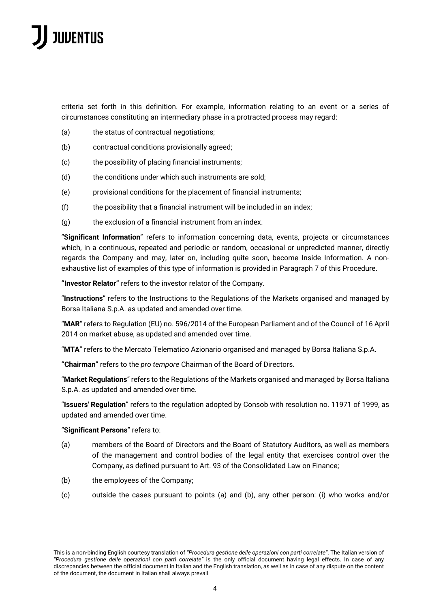criteria set forth in this definition. For example, information relating to an event or a series of circumstances constituting an intermediary phase in a protracted process may regard:

- (a) the status of contractual negotiations;
- (b) contractual conditions provisionally agreed;
- (c) the possibility of placing financial instruments;
- (d) the conditions under which such instruments are sold;
- (e) provisional conditions for the placement of financial instruments;
- (f) the possibility that a financial instrument will be included in an index;
- (g) the exclusion of a financial instrument from an index.

"**Significant Information**" refers to information concerning data, events, projects or circumstances which, in a continuous, repeated and periodic or random, occasional or unpredicted manner, directly regards the Company and may, later on, including quite soon, become Inside Information. A nonexhaustive list of examples of this type of information is provided in Paragraph 7 of this Procedure.

**"Investor Relator"** refers to the investor relator of the Company.

"**Instructions**" refers to the Instructions to the Regulations of the Markets organised and managed by Borsa Italiana S.p.A. as updated and amended over time.

"**MAR**" refers to Regulation (EU) no. 596/2014 of the European Parliament and of the Council of 16 April 2014 on market abuse, as updated and amended over time.

"**MTA**" refers to the Mercato Telematico Azionario organised and managed by Borsa Italiana S.p.A.

**"Chairman**" refers to the *pro tempore* Chairman of the Board of Directors.

"**Market Regulations**" refers to the Regulations of the Markets organised and managed by Borsa Italiana S.p.A. as updated and amended over time.

"**Issuers' Regulation**" refers to the regulation adopted by Consob with resolution no. 11971 of 1999, as updated and amended over time.

#### "**Significant Persons**" refers to:

- (a) members of the Board of Directors and the Board of Statutory Auditors, as well as members of the management and control bodies of the legal entity that exercises control over the Company, as defined pursuant to Art. 93 of the Consolidated Law on Finance;
- (b) the employees of the Company;
- (c) outside the cases pursuant to points (a) and (b), any other person: (i) who works and/or

This is a non-binding English courtesy translation of *"Procedura gestione delle operazioni con parti correlate"*. The Italian version of *"Procedura gestione delle operazioni con parti correlate"* is the only official document having legal effects. In case of any discrepancies between the official document in Italian and the English translation, as well as in case of any dispute on the content of the document, the document in Italian shall always prevail.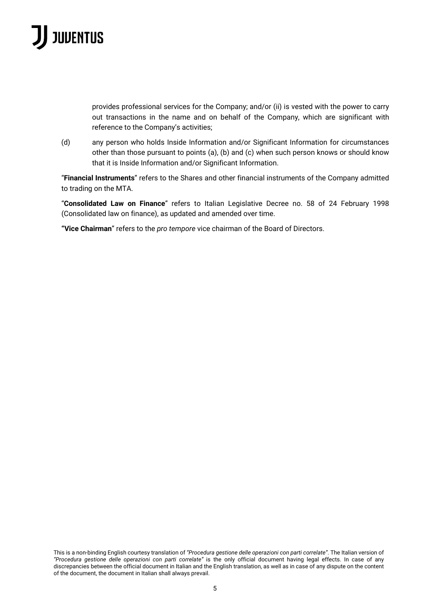provides professional services for the Company; and/or (ii) is vested with the power to carry out transactions in the name and on behalf of the Company, which are significant with reference to the Company's activities;

(d) any person who holds Inside Information and/or Significant Information for circumstances other than those pursuant to points (a), (b) and (c) when such person knows or should know that it is Inside Information and/or Significant Information.

"**Financial Instruments**" refers to the Shares and other financial instruments of the Company admitted to trading on the MTA.

"**Consolidated Law on Finance**" refers to Italian Legislative Decree no. 58 of 24 February 1998 (Consolidated law on finance), as updated and amended over time.

**"Vice Chairman**" refers to the *pro tempore* vice chairman of the Board of Directors.

This is a non-binding English courtesy translation of *"Procedura gestione delle operazioni con parti correlate"*. The Italian version of *"Procedura gestione delle operazioni con parti correlate"* is the only official document having legal effects. In case of any discrepancies between the official document in Italian and the English translation, as well as in case of any dispute on the content of the document, the document in Italian shall always prevail.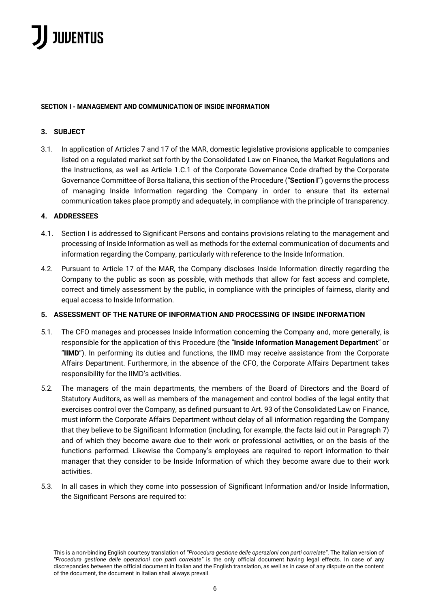### **SECTION I - MANAGEMENT AND COMMUNICATION OF INSIDE INFORMATION**

### **3. SUBJECT**

3.1. In application of Articles 7 and 17 of the MAR, domestic legislative provisions applicable to companies listed on a regulated market set forth by the Consolidated Law on Finance, the Market Regulations and the Instructions, as well as Article 1.C.1 of the Corporate Governance Code drafted by the Corporate Governance Committee of Borsa Italiana, this section of the Procedure ("**Section I**") governs the process of managing Inside Information regarding the Company in order to ensure that its external communication takes place promptly and adequately, in compliance with the principle of transparency.

### **4. ADDRESSEES**

- 4.1. Section I is addressed to Significant Persons and contains provisions relating to the management and processing of Inside Information as well as methods for the external communication of documents and information regarding the Company, particularly with reference to the Inside Information.
- 4.2. Pursuant to Article 17 of the MAR, the Company discloses Inside Information directly regarding the Company to the public as soon as possible, with methods that allow for fast access and complete, correct and timely assessment by the public, in compliance with the principles of fairness, clarity and equal access to Inside Information.

### **5. ASSESSMENT OF THE NATURE OF INFORMATION AND PROCESSING OF INSIDE INFORMATION**

- 5.1. The CFO manages and processes Inside Information concerning the Company and, more generally, is responsible for the application of this Procedure (the "**Inside Information Management Department**" or "**IIMD**"). In performing its duties and functions, the IIMD may receive assistance from the Corporate Affairs Department. Furthermore, in the absence of the CFO, the Corporate Affairs Department takes responsibility for the IIMD's activities.
- 5.2. The managers of the main departments, the members of the Board of Directors and the Board of Statutory Auditors, as well as members of the management and control bodies of the legal entity that exercises control over the Company, as defined pursuant to Art. 93 of the Consolidated Law on Finance, must inform the Corporate Affairs Department without delay of all information regarding the Company that they believe to be Significant Information (including, for example, the facts laid out in Paragraph 7) and of which they become aware due to their work or professional activities, or on the basis of the functions performed. Likewise the Company's employees are required to report information to their manager that they consider to be Inside Information of which they become aware due to their work activities.
- 5.3. In all cases in which they come into possession of Significant Information and/or Inside Information, the Significant Persons are required to:

This is a non-binding English courtesy translation of *"Procedura gestione delle operazioni con parti correlate"*. The Italian version of *"Procedura gestione delle operazioni con parti correlate"* is the only official document having legal effects. In case of any discrepancies between the official document in Italian and the English translation, as well as in case of any dispute on the content of the document, the document in Italian shall always prevail.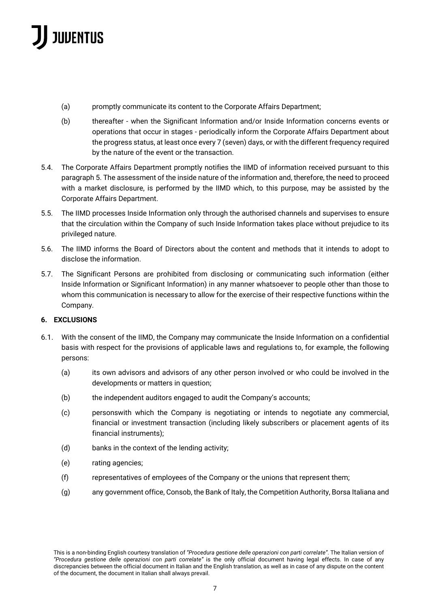- (a) promptly communicate its content to the Corporate Affairs Department;
- (b) thereafter when the Significant Information and/or Inside Information concerns events or operations that occur in stages - periodically inform the Corporate Affairs Department about the progress status, at least once every 7 (seven) days, or with the different frequency required by the nature of the event or the transaction.
- 5.4. The Corporate Affairs Department promptly notifies the IIMD of information received pursuant to this paragraph 5. The assessment of the inside nature of the information and, therefore, the need to proceed with a market disclosure, is performed by the IIMD which, to this purpose, may be assisted by the Corporate Affairs Department.
- 5.5. The IIMD processes Inside Information only through the authorised channels and supervises to ensure that the circulation within the Company of such Inside Information takes place without prejudice to its privileged nature.
- 5.6. The IIMD informs the Board of Directors about the content and methods that it intends to adopt to disclose the information.
- 5.7. The Significant Persons are prohibited from disclosing or communicating such information (either Inside Information or Significant Information) in any manner whatsoever to people other than those to whom this communication is necessary to allow for the exercise of their respective functions within the Company.

### **6. EXCLUSIONS**

- 6.1. With the consent of the IIMD, the Company may communicate the Inside Information on a confidential basis with respect for the provisions of applicable laws and regulations to, for example, the following persons:
	- (a) its own advisors and advisors of any other person involved or who could be involved in the developments or matters in question;
	- (b) the independent auditors engaged to audit the Company's accounts;
	- (c) personswith which the Company is negotiating or intends to negotiate any commercial, financial or investment transaction (including likely subscribers or placement agents of its financial instruments);
	- (d) banks in the context of the lending activity;
	- (e) rating agencies;
	- (f) representatives of employees of the Company or the unions that represent them;
	- (g) any government office, Consob, the Bank of Italy, the Competition Authority, Borsa Italiana and

This is a non-binding English courtesy translation of *"Procedura gestione delle operazioni con parti correlate"*. The Italian version of *"Procedura gestione delle operazioni con parti correlate"* is the only official document having legal effects. In case of any discrepancies between the official document in Italian and the English translation, as well as in case of any dispute on the content of the document, the document in Italian shall always prevail.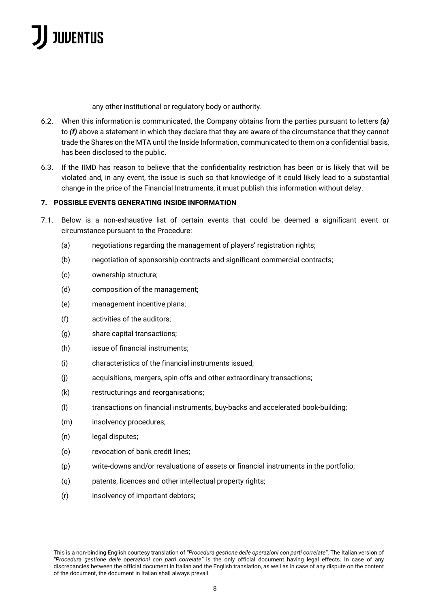any other institutional or regulatory body or authority.

- 6.2. When this information is communicated, the Company obtains from the parties pursuant to letters *(a)*  to *(f)* above a statement in which they declare that they are aware of the circumstance that they cannot trade the Shares on the MTA until the Inside Information, communicated to them on a confidential basis, has been disclosed to the public.
- 6.3. If the IIMD has reason to believe that the confidentiality restriction has been or is likely that will be violated and, in any event, the issue is such so that knowledge of it could likely lead to a substantial change in the price of the Financial Instruments, it must publish this information without delay.

### **7. POSSIBLE EVENTS GENERATING INSIDE INFORMATION**

- 7.1. Below is a non-exhaustive list of certain events that could be deemed a significant event or circumstance pursuant to the Procedure:
	- (a) negotiations regarding the management of players' registration rights;
	- (b) negotiation of sponsorship contracts and significant commercial contracts;
	- (c) ownership structure;
	- (d) composition of the management;
	- (e) management incentive plans;
	- (f) activities of the auditors;
	- (g) share capital transactions;
	- (h) issue of financial instruments;
	- (i) characteristics of the financial instruments issued;
	- (j) acquisitions, mergers, spin-offs and other extraordinary transactions;
	- (k) restructurings and reorganisations;
	- (l) transactions on financial instruments, buy-backs and accelerated book-building;
	- (m) insolvency procedures;
	- (n) legal disputes;
	- (o) revocation of bank credit lines;
	- (p) write-downs and/or revaluations of assets or financial instruments in the portfolio;
	- (q) patents, licences and other intellectual property rights;
	- (r) insolvency of important debtors;

This is a non-binding English courtesy translation of *"Procedura gestione delle operazioni con parti correlate"*. The Italian version of *"Procedura gestione delle operazioni con parti correlate"* is the only official document having legal effects. In case of any discrepancies between the official document in Italian and the English translation, as well as in case of any dispute on the content of the document, the document in Italian shall always prevail.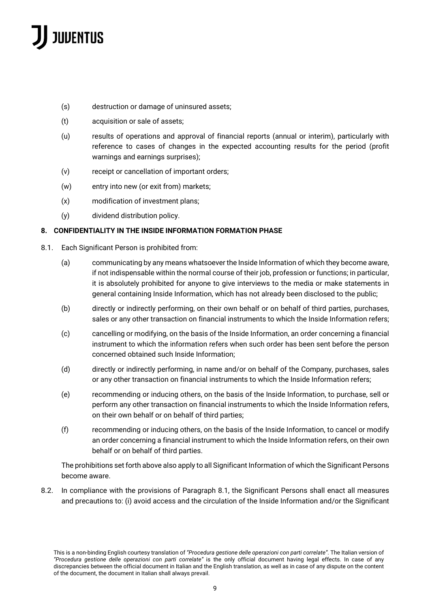- (s) destruction or damage of uninsured assets;
- (t) acquisition or sale of assets;
- (u) results of operations and approval of financial reports (annual or interim), particularly with reference to cases of changes in the expected accounting results for the period (profit warnings and earnings surprises);
- (v) receipt or cancellation of important orders;
- (w) entry into new (or exit from) markets;
- (x) modification of investment plans;
- (y) dividend distribution policy.

### **8. CONFIDENTIALITY IN THE INSIDE INFORMATION FORMATION PHASE**

- 8.1. Each Significant Person is prohibited from:
	- (a) communicating by any means whatsoever the Inside Information of which they become aware, if not indispensable within the normal course of their job, profession or functions; in particular, it is absolutely prohibited for anyone to give interviews to the media or make statements in general containing Inside Information, which has not already been disclosed to the public;
	- (b) directly or indirectly performing, on their own behalf or on behalf of third parties, purchases, sales or any other transaction on financial instruments to which the Inside Information refers;
	- (c) cancelling or modifying, on the basis of the Inside Information, an order concerning a financial instrument to which the information refers when such order has been sent before the person concerned obtained such Inside Information;
	- (d) directly or indirectly performing, in name and/or on behalf of the Company, purchases, sales or any other transaction on financial instruments to which the Inside Information refers;
	- (e) recommending or inducing others, on the basis of the Inside Information, to purchase, sell or perform any other transaction on financial instruments to which the Inside Information refers, on their own behalf or on behalf of third parties;
	- (f) recommending or inducing others, on the basis of the Inside Information, to cancel or modify an order concerning a financial instrument to which the Inside Information refers, on their own behalf or on behalf of third parties.

The prohibitions set forth above also apply to all Significant Information of which the Significant Persons become aware.

8.2. In compliance with the provisions of Paragraph 8.1, the Significant Persons shall enact all measures and precautions to: (i) avoid access and the circulation of the Inside Information and/or the Significant

This is a non-binding English courtesy translation of *"Procedura gestione delle operazioni con parti correlate"*. The Italian version of *"Procedura gestione delle operazioni con parti correlate"* is the only official document having legal effects. In case of any discrepancies between the official document in Italian and the English translation, as well as in case of any dispute on the content of the document, the document in Italian shall always prevail.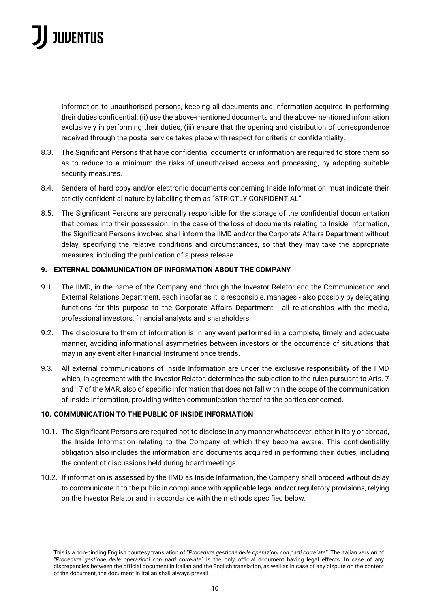Information to unauthorised persons, keeping all documents and information acquired in performing their duties confidential; (ii) use the above-mentioned documents and the above-mentioned information exclusively in performing their duties; (iii) ensure that the opening and distribution of correspondence received through the postal service takes place with respect for criteria of confidentiality.

- 8.3. The Significant Persons that have confidential documents or information are required to store them so as to reduce to a minimum the risks of unauthorised access and processing, by adopting suitable security measures.
- 8.4. Senders of hard copy and/or electronic documents concerning Inside Information must indicate their strictly confidential nature by labelling them as "STRICTLY CONFIDENTIAL".
- 8.5. The Significant Persons are personally responsible for the storage of the confidential documentation that comes into their possession. In the case of the loss of documents relating to Inside Information, the Significant Persons involved shall inform the IIMD and/or the Corporate Affairs Department without delay, specifying the relative conditions and circumstances, so that they may take the appropriate measures, including the publication of a press release.

### **9. EXTERNAL COMMUNICATION OF INFORMATION ABOUT THE COMPANY**

- 9.1. The IIMD, in the name of the Company and through the Investor Relator and the Communication and External Relations Department, each insofar as it is responsible, manages - also possibly by delegating functions for this purpose to the Corporate Affairs Department - all relationships with the media, professional investors, financial analysts and shareholders.
- 9.2. The disclosure to them of information is in any event performed in a complete, timely and adequate manner, avoiding informational asymmetries between investors or the occurrence of situations that may in any event alter Financial Instrument price trends.
- 9.3. All external communications of Inside Information are under the exclusive responsibility of the IIMD which, in agreement with the Investor Relator, determines the subjection to the rules pursuant to Arts. 7 and 17 of the MAR, also of specific information that does not fall within the scope of the communication of Inside Information, providing written communication thereof to the parties concerned.

### **10. COMMUNICATION TO THE PUBLIC OF INSIDE INFORMATION**

- 10.1. The Significant Persons are required not to disclose in any manner whatsoever, either in Italy or abroad, the Inside Information relating to the Company of which they become aware. This confidentiality obligation also includes the information and documents acquired in performing their duties, including the content of discussions held during board meetings.
- 10.2. If information is assessed by the IIMD as Inside Information, the Company shall proceed without delay to communicate it to the public in compliance with applicable legal and/or regulatory provisions, relying on the Investor Relator and in accordance with the methods specified below.

This is a non-binding English courtesy translation of *"Procedura gestione delle operazioni con parti correlate"*. The Italian version of *"Procedura gestione delle operazioni con parti correlate"* is the only official document having legal effects. In case of any discrepancies between the official document in Italian and the English translation, as well as in case of any dispute on the content of the document, the document in Italian shall always prevail.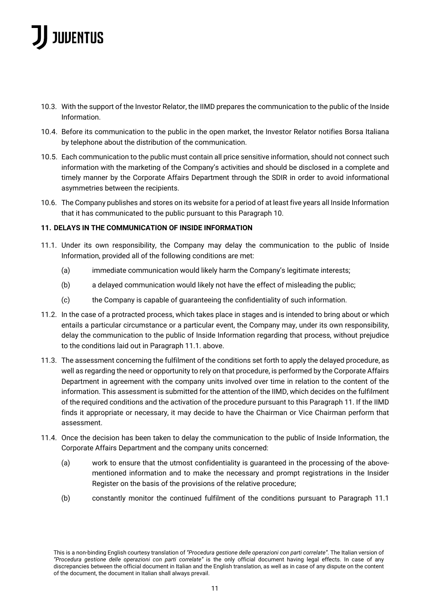- 10.3. With the support of the Investor Relator, the IIMD prepares the communication to the public of the Inside Information.
- 10.4. Before its communication to the public in the open market, the Investor Relator notifies Borsa Italiana by telephone about the distribution of the communication.
- 10.5. Each communication to the public must contain all price sensitive information, should not connect such information with the marketing of the Company's activities and should be disclosed in a complete and timely manner by the Corporate Affairs Department through the SDIR in order to avoid informational asymmetries between the recipients.
- 10.6. The Company publishes and stores on its website for a period of at least five years all Inside Information that it has communicated to the public pursuant to this Paragraph 10.

### **11. DELAYS IN THE COMMUNICATION OF INSIDE INFORMATION**

- 11.1. Under its own responsibility, the Company may delay the communication to the public of Inside Information, provided all of the following conditions are met:
	- (a) immediate communication would likely harm the Company's legitimate interests;
	- (b) a delayed communication would likely not have the effect of misleading the public;
	- (c) the Company is capable of guaranteeing the confidentiality of such information.
- 11.2. In the case of a protracted process, which takes place in stages and is intended to bring about or which entails a particular circumstance or a particular event, the Company may, under its own responsibility, delay the communication to the public of Inside Information regarding that process, without prejudice to the conditions laid out in Paragraph 11.1. above.
- 11.3. The assessment concerning the fulfilment of the conditions set forth to apply the delayed procedure, as well as regarding the need or opportunity to rely on that procedure, is performed by the Corporate Affairs Department in agreement with the company units involved over time in relation to the content of the information. This assessment is submitted for the attention of the IIMD, which decides on the fulfilment of the required conditions and the activation of the procedure pursuant to this Paragraph 11. If the IIMD finds it appropriate or necessary, it may decide to have the Chairman or Vice Chairman perform that assessment.
- 11.4. Once the decision has been taken to delay the communication to the public of Inside Information, the Corporate Affairs Department and the company units concerned:
	- (a) work to ensure that the utmost confidentiality is guaranteed in the processing of the abovementioned information and to make the necessary and prompt registrations in the Insider Register on the basis of the provisions of the relative procedure;
	- (b) constantly monitor the continued fulfilment of the conditions pursuant to Paragraph 11.1

This is a non-binding English courtesy translation of *"Procedura gestione delle operazioni con parti correlate"*. The Italian version of *"Procedura gestione delle operazioni con parti correlate"* is the only official document having legal effects. In case of any discrepancies between the official document in Italian and the English translation, as well as in case of any dispute on the content of the document, the document in Italian shall always prevail.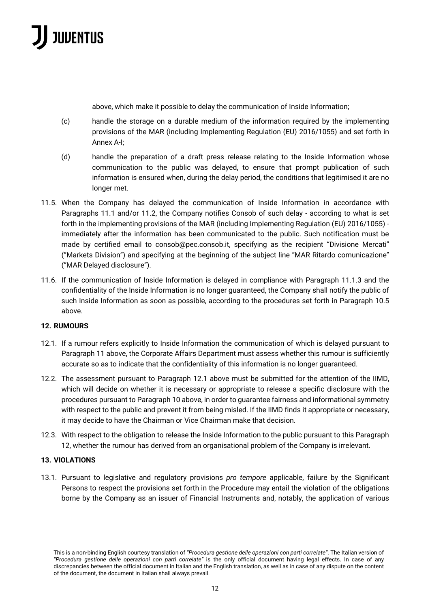

above, which make it possible to delay the communication of Inside Information;

- (c) handle the storage on a durable medium of the information required by the implementing provisions of the MAR (including Implementing Regulation (EU) 2016/1055) and set forth in Annex A-I;
- (d) handle the preparation of a draft press release relating to the Inside Information whose communication to the public was delayed, to ensure that prompt publication of such information is ensured when, during the delay period, the conditions that legitimised it are no longer met.
- 11.5. When the Company has delayed the communication of Inside Information in accordance with Paragraphs 11.1 and/or 11.2, the Company notifies Consob of such delay - according to what is set forth in the implementing provisions of the MAR (including Implementing Regulation (EU) 2016/1055) immediately after the information has been communicated to the public. Such notification must be made by certified email to consob@pec.consob.it, specifying as the recipient "Divisione Mercati" ("Markets Division") and specifying at the beginning of the subject line "MAR Ritardo comunicazione" ("MAR Delayed disclosure").
- 11.6. If the communication of Inside Information is delayed in compliance with Paragraph 11.1.3 and the confidentiality of the Inside Information is no longer guaranteed, the Company shall notify the public of such Inside Information as soon as possible, according to the procedures set forth in Paragraph 10.5 above.

### **12. RUMOURS**

- 12.1. If a rumour refers explicitly to Inside Information the communication of which is delayed pursuant to Paragraph 11 above, the Corporate Affairs Department must assess whether this rumour is sufficiently accurate so as to indicate that the confidentiality of this information is no longer guaranteed.
- 12.2. The assessment pursuant to Paragraph 12.1 above must be submitted for the attention of the IIMD, which will decide on whether it is necessary or appropriate to release a specific disclosure with the procedures pursuant to Paragraph 10 above, in order to guarantee fairness and informational symmetry with respect to the public and prevent it from being misled. If the IIMD finds it appropriate or necessary, it may decide to have the Chairman or Vice Chairman make that decision.
- 12.3. With respect to the obligation to release the Inside Information to the public pursuant to this Paragraph 12, whether the rumour has derived from an organisational problem of the Company is irrelevant.

### **13. VIOLATIONS**

13.1. Pursuant to legislative and regulatory provisions *pro tempore* applicable, failure by the Significant Persons to respect the provisions set forth in the Procedure may entail the violation of the obligations borne by the Company as an issuer of Financial Instruments and, notably, the application of various

This is a non-binding English courtesy translation of *"Procedura gestione delle operazioni con parti correlate"*. The Italian version of *"Procedura gestione delle operazioni con parti correlate"* is the only official document having legal effects. In case of any discrepancies between the official document in Italian and the English translation, as well as in case of any dispute on the content of the document, the document in Italian shall always prevail.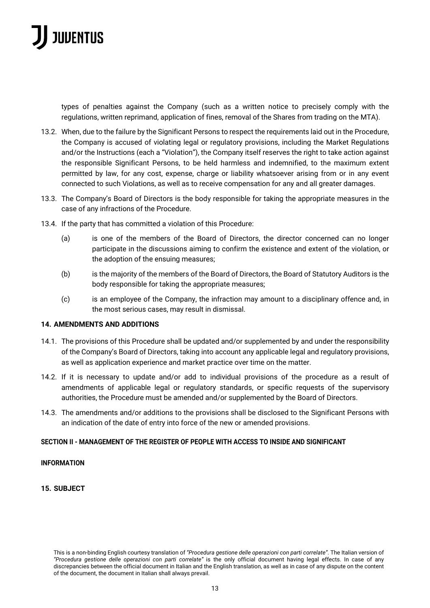

types of penalties against the Company (such as a written notice to precisely comply with the regulations, written reprimand, application of fines, removal of the Shares from trading on the MTA).

- 13.2. When, due to the failure by the Significant Persons to respect the requirements laid out in the Procedure, the Company is accused of violating legal or regulatory provisions, including the Market Regulations and/or the Instructions (each a "Violation"), the Company itself reserves the right to take action against the responsible Significant Persons, to be held harmless and indemnified, to the maximum extent permitted by law, for any cost, expense, charge or liability whatsoever arising from or in any event connected to such Violations, as well as to receive compensation for any and all greater damages.
- 13.3. The Company's Board of Directors is the body responsible for taking the appropriate measures in the case of any infractions of the Procedure.
- 13.4. If the party that has committed a violation of this Procedure:
	- (a) is one of the members of the Board of Directors, the director concerned can no longer participate in the discussions aiming to confirm the existence and extent of the violation, or the adoption of the ensuing measures;
	- (b) is the majority of the members of the Board of Directors, the Board of Statutory Auditors is the body responsible for taking the appropriate measures;
	- (c) is an employee of the Company, the infraction may amount to a disciplinary offence and, in the most serious cases, may result in dismissal.

#### **14. AMENDMENTS AND ADDITIONS**

- 14.1. The provisions of this Procedure shall be updated and/or supplemented by and under the responsibility of the Company's Board of Directors, taking into account any applicable legal and regulatory provisions, as well as application experience and market practice over time on the matter.
- 14.2. If it is necessary to update and/or add to individual provisions of the procedure as a result of amendments of applicable legal or regulatory standards, or specific requests of the supervisory authorities, the Procedure must be amended and/or supplemented by the Board of Directors.
- 14.3. The amendments and/or additions to the provisions shall be disclosed to the Significant Persons with an indication of the date of entry into force of the new or amended provisions.

#### **SECTION II - MANAGEMENT OF THE REGISTER OF PEOPLE WITH ACCESS TO INSIDE AND SIGNIFICANT**

#### **INFORMATION**

#### **15. SUBJECT**

This is a non-binding English courtesy translation of *"Procedura gestione delle operazioni con parti correlate"*. The Italian version of *"Procedura gestione delle operazioni con parti correlate"* is the only official document having legal effects. In case of any discrepancies between the official document in Italian and the English translation, as well as in case of any dispute on the content of the document, the document in Italian shall always prevail.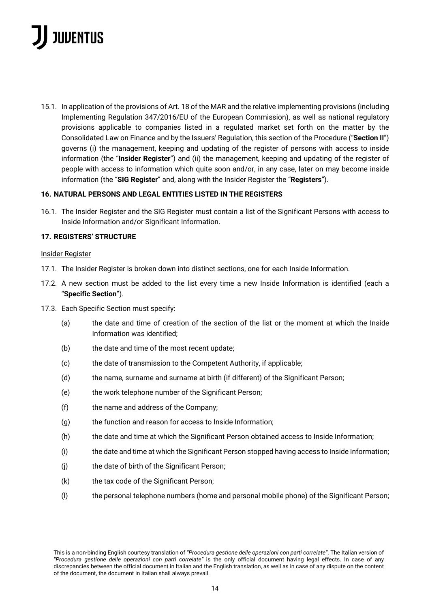15.1. In application of the provisions of Art. 18 of the MAR and the relative implementing provisions (including Implementing Regulation 347/2016/EU of the European Commission), as well as national regulatory provisions applicable to companies listed in a regulated market set forth on the matter by the Consolidated Law on Finance and by the Issuers' Regulation, this section of the Procedure ("**Section II**") governs (i) the management, keeping and updating of the register of persons with access to inside information (the "**Insider Register**") and (ii) the management, keeping and updating of the register of people with access to information which quite soon and/or, in any case, later on may become inside information (the "**SIG Register**" and, along with the Insider Register the "**Registers**").

### **16. NATURAL PERSONS AND LEGAL ENTITIES LISTED IN THE REGISTERS**

16.1. The Insider Register and the SIG Register must contain a list of the Significant Persons with access to Inside Information and/or Significant Information.

#### **17. REGISTERS' STRUCTURE**

#### Insider Register

- 17.1. The Insider Register is broken down into distinct sections, one for each Inside Information.
- 17.2. A new section must be added to the list every time a new Inside Information is identified (each a "**Specific Section**").
- 17.3. Each Specific Section must specify:
	- (a) the date and time of creation of the section of the list or the moment at which the Inside Information was identified;
	- (b) the date and time of the most recent update;
	- (c) the date of transmission to the Competent Authority, if applicable;
	- (d) the name, surname and surname at birth (if different) of the Significant Person;
	- (e) the work telephone number of the Significant Person;
	- (f) the name and address of the Company;
	- (g) the function and reason for access to Inside Information;
	- (h) the date and time at which the Significant Person obtained access to Inside Information;
	- (i) the date and time at which the Significant Person stopped having access to Inside Information;
	- (j) the date of birth of the Significant Person;
	- (k) the tax code of the Significant Person;
	- (l) the personal telephone numbers (home and personal mobile phone) of the Significant Person;

This is a non-binding English courtesy translation of *"Procedura gestione delle operazioni con parti correlate"*. The Italian version of *"Procedura gestione delle operazioni con parti correlate"* is the only official document having legal effects. In case of any discrepancies between the official document in Italian and the English translation, as well as in case of any dispute on the content of the document, the document in Italian shall always prevail.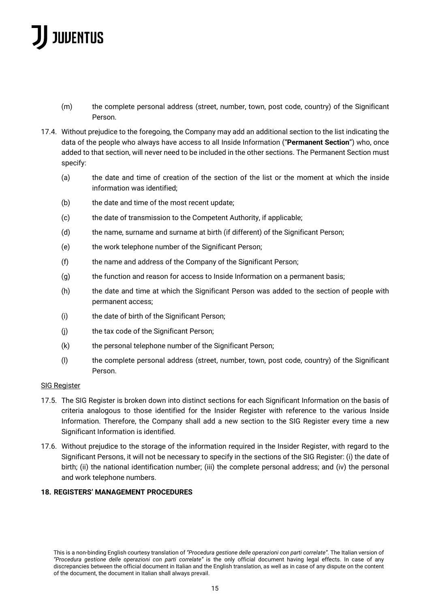- (m) the complete personal address (street, number, town, post code, country) of the Significant Person.
- 17.4. Without prejudice to the foregoing, the Company may add an additional section to the list indicating the data of the people who always have access to all Inside Information ("**Permanent Section**") who, once added to that section, will never need to be included in the other sections. The Permanent Section must specify:
	- (a) the date and time of creation of the section of the list or the moment at which the inside information was identified;
	- (b) the date and time of the most recent update;
	- (c) the date of transmission to the Competent Authority, if applicable;
	- (d) the name, surname and surname at birth (if different) of the Significant Person;
	- (e) the work telephone number of the Significant Person;
	- (f) the name and address of the Company of the Significant Person;
	- (g) the function and reason for access to Inside Information on a permanent basis;
	- (h) the date and time at which the Significant Person was added to the section of people with permanent access;
	- (i) the date of birth of the Significant Person;
	- (j) the tax code of the Significant Person;
	- (k) the personal telephone number of the Significant Person;
	- (l) the complete personal address (street, number, town, post code, country) of the Significant Person.

### SIG Register

- 17.5. The SIG Register is broken down into distinct sections for each Significant Information on the basis of criteria analogous to those identified for the Insider Register with reference to the various Inside Information. Therefore, the Company shall add a new section to the SIG Register every time a new Significant Information is identified.
- 17.6. Without prejudice to the storage of the information required in the Insider Register, with regard to the Significant Persons, it will not be necessary to specify in the sections of the SIG Register: (i) the date of birth; (ii) the national identification number; (iii) the complete personal address; and (iv) the personal and work telephone numbers.

### **18. REGISTERS' MANAGEMENT PROCEDURES**

This is a non-binding English courtesy translation of *"Procedura gestione delle operazioni con parti correlate"*. The Italian version of *"Procedura gestione delle operazioni con parti correlate"* is the only official document having legal effects. In case of any discrepancies between the official document in Italian and the English translation, as well as in case of any dispute on the content of the document, the document in Italian shall always prevail.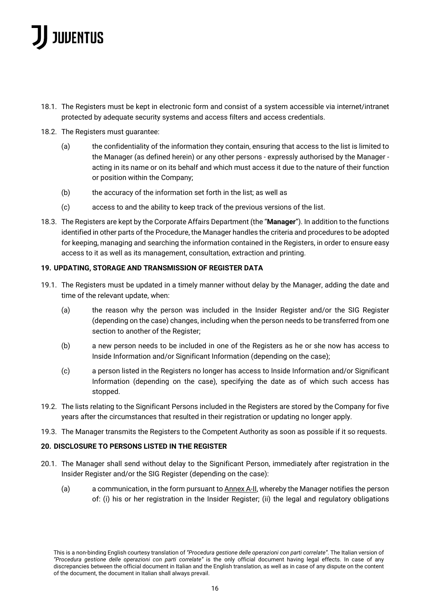- 18.1. The Registers must be kept in electronic form and consist of a system accessible via internet/intranet protected by adequate security systems and access filters and access credentials.
- 18.2. The Registers must guarantee:
	- (a) the confidentiality of the information they contain, ensuring that access to the list is limited to the Manager (as defined herein) or any other persons - expressly authorised by the Manager acting in its name or on its behalf and which must access it due to the nature of their function or position within the Company;
	- (b) the accuracy of the information set forth in the list; as well as
	- (c) access to and the ability to keep track of the previous versions of the list.
- 18.3. The Registers are kept by the Corporate Affairs Department (the "**Manager**"). In addition to the functions identified in other parts of the Procedure, the Manager handles the criteria and procedures to be adopted for keeping, managing and searching the information contained in the Registers, in order to ensure easy access to it as well as its management, consultation, extraction and printing.

### **19. UPDATING, STORAGE AND TRANSMISSION OF REGISTER DATA**

- 19.1. The Registers must be updated in a timely manner without delay by the Manager, adding the date and time of the relevant update, when:
	- (a) the reason why the person was included in the Insider Register and/or the SIG Register (depending on the case) changes, including when the person needs to be transferred from one section to another of the Register;
	- (b) a new person needs to be included in one of the Registers as he or she now has access to Inside Information and/or Significant Information (depending on the case);
	- (c) a person listed in the Registers no longer has access to Inside Information and/or Significant Information (depending on the case), specifying the date as of which such access has stopped.
- 19.2. The lists relating to the Significant Persons included in the Registers are stored by the Company for five years after the circumstances that resulted in their registration or updating no longer apply.
- 19.3. The Manager transmits the Registers to the Competent Authority as soon as possible if it so requests.

### **20. DISCLOSURE TO PERSONS LISTED IN THE REGISTER**

- 20.1. The Manager shall send without delay to the Significant Person, immediately after registration in the Insider Register and/or the SIG Register (depending on the case):
	- (a) a communication, in the form pursuant to  $\Delta n$  A-II, whereby the Manager notifies the person of: (i) his or her registration in the Insider Register; (ii) the legal and regulatory obligations

This is a non-binding English courtesy translation of *"Procedura gestione delle operazioni con parti correlate"*. The Italian version of *"Procedura gestione delle operazioni con parti correlate"* is the only official document having legal effects. In case of any discrepancies between the official document in Italian and the English translation, as well as in case of any dispute on the content of the document, the document in Italian shall always prevail.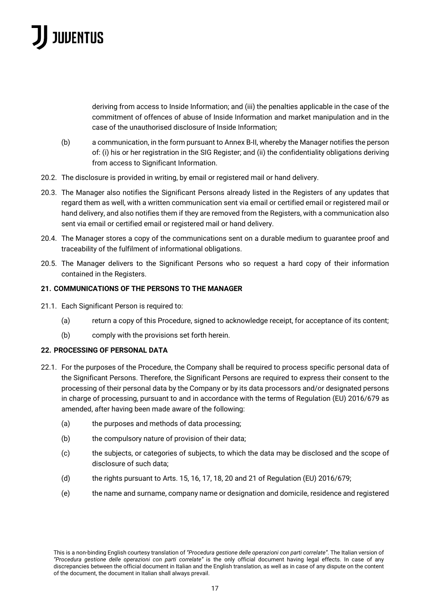deriving from access to Inside Information; and (iii) the penalties applicable in the case of the commitment of offences of abuse of Inside Information and market manipulation and in the case of the unauthorised disclosure of Inside Information;

- (b) a communication, in the form pursuant to Annex B-II, whereby the Manager notifies the person of: (i) his or her registration in the SIG Register; and (ii) the confidentiality obligations deriving from access to Significant Information.
- 20.2. The disclosure is provided in writing, by email or registered mail or hand delivery.
- 20.3. The Manager also notifies the Significant Persons already listed in the Registers of any updates that regard them as well, with a written communication sent via email or certified email or registered mail or hand delivery, and also notifies them if they are removed from the Registers, with a communication also sent via email or certified email or registered mail or hand delivery.
- 20.4. The Manager stores a copy of the communications sent on a durable medium to guarantee proof and traceability of the fulfilment of informational obligations.
- 20.5. The Manager delivers to the Significant Persons who so request a hard copy of their information contained in the Registers.

### **21. COMMUNICATIONS OF THE PERSONS TO THE MANAGER**

- 21.1. Each Significant Person is required to:
	- (a) return a copy of this Procedure, signed to acknowledge receipt, for acceptance of its content;
	- (b) comply with the provisions set forth herein.

### **22. PROCESSING OF PERSONAL DATA**

- 22.1. For the purposes of the Procedure, the Company shall be required to process specific personal data of the Significant Persons. Therefore, the Significant Persons are required to express their consent to the processing of their personal data by the Company or by its data processors and/or designated persons in charge of processing, pursuant to and in accordance with the terms of Regulation (EU) 2016/679 as amended, after having been made aware of the following:
	- (a) the purposes and methods of data processing;
	- (b) the compulsory nature of provision of their data;
	- (c) the subjects, or categories of subjects, to which the data may be disclosed and the scope of disclosure of such data;
	- (d) the rights pursuant to Arts. 15, 16, 17, 18, 20 and 21 of Regulation (EU) 2016/679;
	- (e) the name and surname, company name or designation and domicile, residence and registered

This is a non-binding English courtesy translation of *"Procedura gestione delle operazioni con parti correlate"*. The Italian version of *"Procedura gestione delle operazioni con parti correlate"* is the only official document having legal effects. In case of any discrepancies between the official document in Italian and the English translation, as well as in case of any dispute on the content of the document, the document in Italian shall always prevail.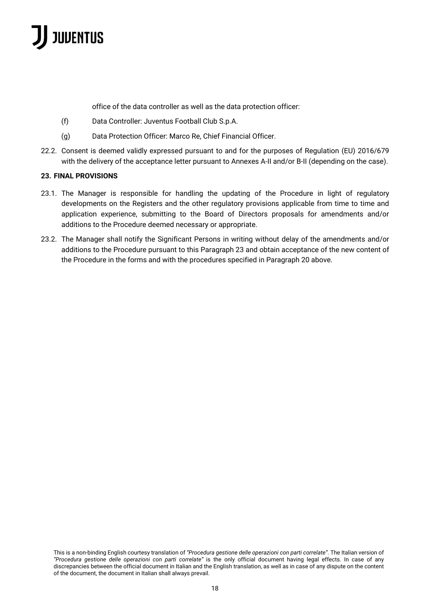office of the data controller as well as the data protection officer:

- (f) Data Controller: Juventus Football Club S.p.A.
- (g) Data Protection Officer: Marco Re, Chief Financial Officer.
- 22.2. Consent is deemed validly expressed pursuant to and for the purposes of Regulation (EU) 2016/679 with the delivery of the acceptance letter pursuant to Annexes A-II and/or B-II (depending on the case).

### **23. FINAL PROVISIONS**

- 23.1. The Manager is responsible for handling the updating of the Procedure in light of regulatory developments on the Registers and the other regulatory provisions applicable from time to time and application experience, submitting to the Board of Directors proposals for amendments and/or additions to the Procedure deemed necessary or appropriate.
- 23.2. The Manager shall notify the Significant Persons in writing without delay of the amendments and/or additions to the Procedure pursuant to this Paragraph 23 and obtain acceptance of the new content of the Procedure in the forms and with the procedures specified in Paragraph 20 above.

This is a non-binding English courtesy translation of *"Procedura gestione delle operazioni con parti correlate"*. The Italian version of *"Procedura gestione delle operazioni con parti correlate"* is the only official document having legal effects. In case of any discrepancies between the official document in Italian and the English translation, as well as in case of any dispute on the content of the document, the document in Italian shall always prevail.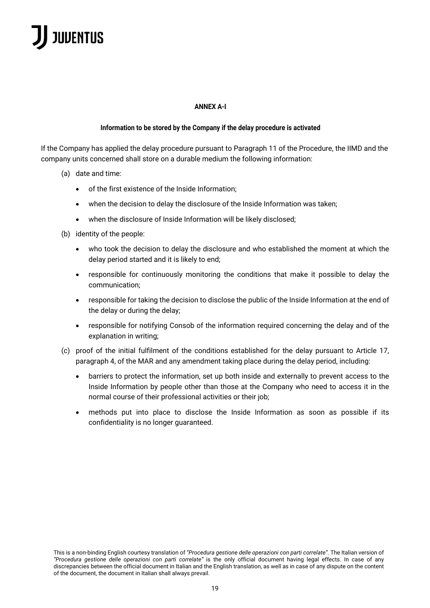#### **ANNEX A-I**

#### **Information to be stored by the Company if the delay procedure is activated**

If the Company has applied the delay procedure pursuant to Paragraph 11 of the Procedure, the IIMD and the company units concerned shall store on a durable medium the following information:

- (a) date and time:
	- of the first existence of the Inside Information;
	- when the decision to delay the disclosure of the Inside Information was taken;
	- when the disclosure of Inside Information will be likely disclosed;
- (b) identity of the people:
	- who took the decision to delay the disclosure and who established the moment at which the delay period started and it is likely to end;
	- responsible for continuously monitoring the conditions that make it possible to delay the communication;
	- responsible for taking the decision to disclose the public of the Inside Information at the end of the delay or during the delay;
	- responsible for notifying Consob of the information required concerning the delay and of the explanation in writing;
- (c) proof of the initial fulfilment of the conditions established for the delay pursuant to Article 17, paragraph 4, of the MAR and any amendment taking place during the delay period, including:
	- barriers to protect the information, set up both inside and externally to prevent access to the Inside Information by people other than those at the Company who need to access it in the normal course of their professional activities or their job;
	- methods put into place to disclose the Inside Information as soon as possible if its confidentiality is no longer guaranteed.

This is a non-binding English courtesy translation of *"Procedura gestione delle operazioni con parti correlate"*. The Italian version of *"Procedura gestione delle operazioni con parti correlate"* is the only official document having legal effects. In case of any discrepancies between the official document in Italian and the English translation, as well as in case of any dispute on the content of the document, the document in Italian shall always prevail.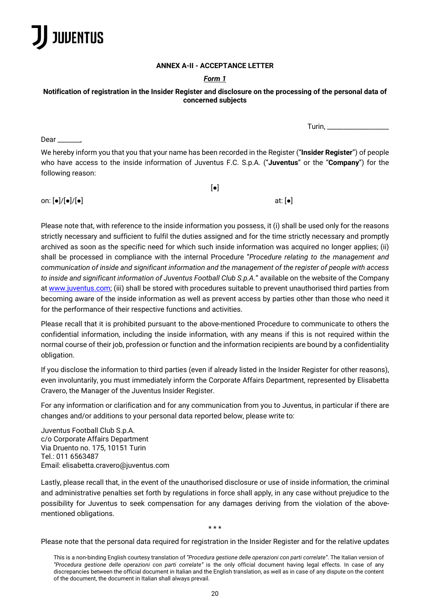

#### **ANNEX A-II - ACCEPTANCE LETTER**

### *Form 1*

### **Notification of registration in the Insider Register and disclosure on the processing of the personal data of concerned subjects**

Turin,  $\frac{1}{\sqrt{2}}$ 

Dear \_\_\_\_\_\_\_,

We hereby inform you that you that your name has been recorded in the Register ("**Insider Register**") of people who have access to the inside information of Juventus F.C. S.p.A. ("**Juventus**" or the "**Company**") for the following reason:

 $\lceil \bullet \rceil$ 

on:  $[\bullet]/[\bullet]/[\bullet]$  at:  $[\bullet]$ 

Please note that, with reference to the inside information you possess, it (i) shall be used only for the reasons strictly necessary and sufficient to fulfil the duties assigned and for the time strictly necessary and promptly archived as soon as the specific need for which such inside information was acquired no longer applies; (ii) shall be processed in compliance with the internal Procedure "*Procedure relating to the management and communication of inside and significant information and the management of the register of people with access to inside and significant information of Juventus Football Club S.p.A.*" available on the website of the Company at www.juventus.com; (iii) shall be stored with procedures suitable to prevent unauthorised third parties from becoming aware of the inside information as well as prevent access by parties other than those who need it for the performance of their respective functions and activities.

Please recall that it is prohibited pursuant to the above-mentioned Procedure to communicate to others the confidential information, including the inside information, with any means if this is not required within the normal course of their job, profession or function and the information recipients are bound by a confidentiality obligation.

If you disclose the information to third parties (even if already listed in the Insider Register for other reasons), even involuntarily, you must immediately inform the Corporate Affairs Department, represented by Elisabetta Cravero, the Manager of the Juventus Insider Register.

For any information or clarification and for any communication from you to Juventus, in particular if there are changes and/or additions to your personal data reported below, please write to:

Juventus Football Club S.p.A. c/o Corporate Affairs Department Via Druento no. 175, 10151 Turin Tel.: 011 6563487 Email: elisabetta.cravero@juventus.com

Lastly, please recall that, in the event of the unauthorised disclosure or use of inside information, the criminal and administrative penalties set forth by regulations in force shall apply, in any case without prejudice to the possibility for Juventus to seek compensation for any damages deriving from the violation of the abovementioned obligations.

\* \* \*

Please note that the personal data required for registration in the Insider Register and for the relative updates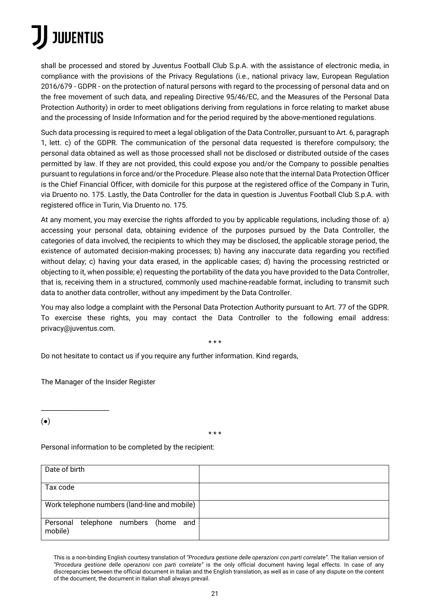shall be processed and stored by Juventus Football Club S.p.A. with the assistance of electronic media, in compliance with the provisions of the Privacy Regulations (i.e., national privacy law, European Regulation 2016/679 - GDPR - on the protection of natural persons with regard to the processing of personal data and on the free movement of such data, and repealing Directive 95/46/EC, and the Measures of the Personal Data Protection Authority) in order to meet obligations deriving from regulations in force relating to market abuse and the processing of Inside Information and for the period required by the above-mentioned regulations.

Such data processing is required to meet a legal obligation of the Data Controller, pursuant to Art. 6, paragraph 1, lett. c) of the GDPR. The communication of the personal data requested is therefore compulsory; the personal data obtained as well as those processed shall not be disclosed or distributed outside of the cases permitted by law. If they are not provided, this could expose you and/or the Company to possible penalties pursuant to regulations in force and/or the Procedure. Please also note that the internal Data Protection Officer is the Chief Financial Officer, with domicile for this purpose at the registered office of the Company in Turin, via Druento no. 175. Lastly, the Data Controller for the data in question is Juventus Football Club S.p.A. with registered office in Turin, Via Druento no. 175.

At any moment, you may exercise the rights afforded to you by applicable regulations, including those of: a) accessing your personal data, obtaining evidence of the purposes pursued by the Data Controller, the categories of data involved, the recipients to which they may be disclosed, the applicable storage period, the existence of automated decision-making processes; b) having any inaccurate data regarding you rectified without delay; c) having your data erased, in the applicable cases; d) having the processing restricted or objecting to it, when possible; e) requesting the portability of the data you have provided to the Data Controller, that is, receiving them in a structured, commonly used machine-readable format, including to transmit such data to another data controller, without any impediment by the Data Controller.

You may also lodge a complaint with the Personal Data Protection Authority pursuant to Art. 77 of the GDPR. To exercise these rights, you may contact the Data Controller to the following email address: privacy@juventus.com.

\* \* \*

Do not hesitate to contact us if you require any further information. Kind regards,

The Manager of the Insider Register

\_\_\_\_\_\_\_\_\_\_\_\_\_\_\_\_\_\_\_\_\_

(●)

\* \* \*

Personal information to be completed by the recipient:

| Date of birth                                      |  |
|----------------------------------------------------|--|
| Tax code                                           |  |
| Work telephone numbers (land-line and mobile)      |  |
| telephone numbers (home and<br>Personal<br>mobile) |  |

This is a non-binding English courtesy translation of *"Procedura gestione delle operazioni con parti correlate"*. The Italian version of *"Procedura gestione delle operazioni con parti correlate"* is the only official document having legal effects. In case of any discrepancies between the official document in Italian and the English translation, as well as in case of any dispute on the content of the document, the document in Italian shall always prevail.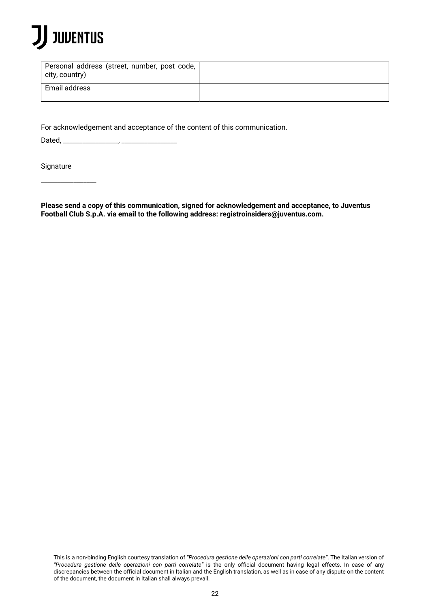

| Personal address (street, number, post code,<br>city, country) |  |
|----------------------------------------------------------------|--|
| Email address                                                  |  |

For acknowledgement and acceptance of the content of this communication.

Dated,  $\frac{1}{2}$ 

**Signature** 

\_\_\_\_\_\_\_\_\_\_\_\_\_\_\_\_\_

**Please send a copy of this communication, signed for acknowledgement and acceptance, to Juventus Football Club S.p.A. via email to the following address: registroinsiders@juventus.com.**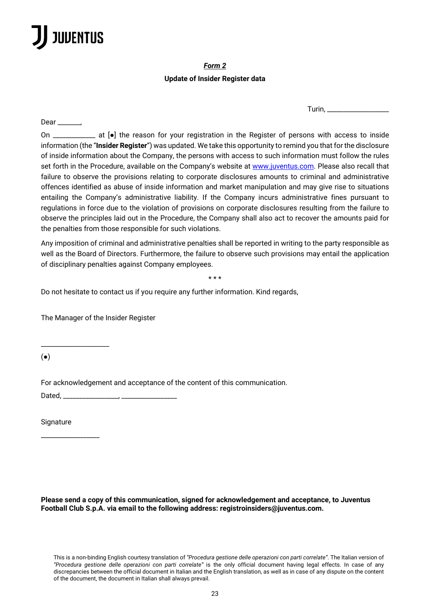Dear \_\_\_\_\_\_\_\_,

### *Form 2*

### **Update of Insider Register data**

 $Turin_{i-1}$ 

On \_\_\_\_\_\_\_\_\_\_\_\_\_ at [●] the reason for your registration in the Register of persons with access to inside information (the "**Insider Register**") was updated. We take this opportunity to remind you that for the disclosure of inside information about the Company, the persons with access to such information must follow the rules set forth in the Procedure, available on the Company's website at www.juventus.com. Please also recall that failure to observe the provisions relating to corporate disclosures amounts to criminal and administrative offences identified as abuse of inside information and market manipulation and may give rise to situations entailing the Company's administrative liability. If the Company incurs administrative fines pursuant to regulations in force due to the violation of provisions on corporate disclosures resulting from the failure to observe the principles laid out in the Procedure, the Company shall also act to recover the amounts paid for the penalties from those responsible for such violations.

Any imposition of criminal and administrative penalties shall be reported in writing to the party responsible as well as the Board of Directors. Furthermore, the failure to observe such provisions may entail the application of disciplinary penalties against Company employees.

\* \* \*

Do not hesitate to contact us if you require any further information. Kind regards,

The Manager of the Insider Register

\_\_\_\_\_\_\_\_\_\_\_\_\_\_\_\_\_\_\_\_\_

For acknowledgement and acceptance of the content of this communication.

Dated, \_\_\_\_\_\_\_\_\_\_\_\_\_\_\_\_\_, \_\_\_\_\_\_\_\_\_\_\_\_\_\_\_\_\_

**Signature** 

\_\_\_\_\_\_\_\_\_\_\_\_\_\_\_\_\_\_

(●)

**Please send a copy of this communication, signed for acknowledgement and acceptance, to Juventus Football Club S.p.A. via email to the following address: registroinsiders@juventus.com.**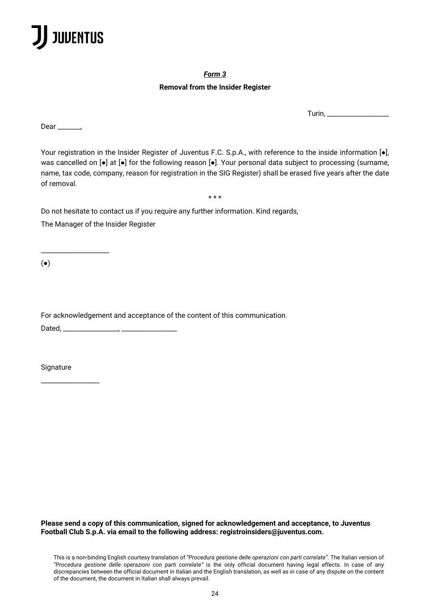

#### *Form 3*

### **Removal from the Insider Register**

Turin, \_\_\_\_\_\_\_\_\_\_\_\_\_\_\_\_\_\_\_

Dear \_\_\_\_\_\_,

Your registration in the Insider Register of Juventus F.C. S.p.A., with reference to the inside information [.], was cancelled on  $\lceil \bullet \rceil$  at  $\lceil \bullet \rceil$  for the following reason  $\lceil \bullet \rceil$ . Your personal data subject to processing (surname, name, tax code, company, reason for registration in the SIG Register) shall be erased five years after the date of removal.

\* \* \*

Do not hesitate to contact us if you require any further information. Kind regards,

The Manager of the Insider Register

\_\_\_\_\_\_\_\_\_\_\_\_\_\_\_\_\_\_\_\_\_

(●)

For acknowledgement and acceptance of the content of this communication. Dated, \_\_\_\_\_\_\_\_\_\_\_\_\_\_\_\_\_, \_\_\_\_\_\_\_\_\_\_\_\_\_\_\_\_\_

**Signature** 

\_\_\_\_\_\_\_\_\_\_\_\_\_\_\_\_\_\_

**Please send a copy of this communication, signed for acknowledgement and acceptance, to Juventus Football Club S.p.A. via email to the following address: registroinsiders@juventus.com.**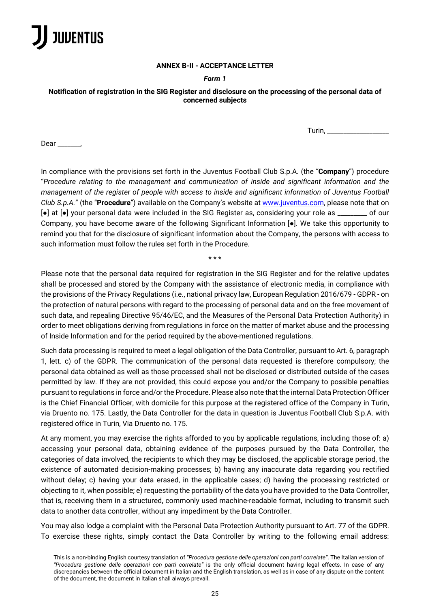

#### **ANNEX B-II - ACCEPTANCE LETTER**

#### *Form 1*

#### **Notification of registration in the SIG Register and disclosure on the processing of the personal data of concerned subjects**

Turin,  $\_\_$ 

Dear  $\_\_$ 

In compliance with the provisions set forth in the Juventus Football Club S.p.A. (the "**Company**") procedure "*Procedure relating to the management and communication of inside and significant information and the management of the register of people with access to inside and significant information of Juventus Football Club S.p.A.*" (the "**Procedure**") available on the Company's website at www.juventus.com, please note that on [●] at [●] your personal data were included in the SIG Register as, considering your role as \_\_\_\_\_\_\_\_\_ of our Company, you have become aware of the following Significant Information [●]. We take this opportunity to remind you that for the disclosure of significant information about the Company, the persons with access to such information must follow the rules set forth in the Procedure.

\* \* \*

Please note that the personal data required for registration in the SIG Register and for the relative updates shall be processed and stored by the Company with the assistance of electronic media, in compliance with the provisions of the Privacy Regulations (i.e., national privacy law, European Regulation 2016/679 - GDPR - on the protection of natural persons with regard to the processing of personal data and on the free movement of such data, and repealing Directive 95/46/EC, and the Measures of the Personal Data Protection Authority) in order to meet obligations deriving from regulations in force on the matter of market abuse and the processing of Inside Information and for the period required by the above-mentioned regulations.

Such data processing is required to meet a legal obligation of the Data Controller, pursuant to Art. 6, paragraph 1, lett. c) of the GDPR. The communication of the personal data requested is therefore compulsory; the personal data obtained as well as those processed shall not be disclosed or distributed outside of the cases permitted by law. If they are not provided, this could expose you and/or the Company to possible penalties pursuant to regulations in force and/or the Procedure. Please also note that the internal Data Protection Officer is the Chief Financial Officer, with domicile for this purpose at the registered office of the Company in Turin, via Druento no. 175. Lastly, the Data Controller for the data in question is Juventus Football Club S.p.A. with registered office in Turin, Via Druento no. 175.

At any moment, you may exercise the rights afforded to you by applicable regulations, including those of: a) accessing your personal data, obtaining evidence of the purposes pursued by the Data Controller, the categories of data involved, the recipients to which they may be disclosed, the applicable storage period, the existence of automated decision-making processes; b) having any inaccurate data regarding you rectified without delay; c) having your data erased, in the applicable cases; d) having the processing restricted or objecting to it, when possible; e) requesting the portability of the data you have provided to the Data Controller, that is, receiving them in a structured, commonly used machine-readable format, including to transmit such data to another data controller, without any impediment by the Data Controller.

You may also lodge a complaint with the Personal Data Protection Authority pursuant to Art. 77 of the GDPR. To exercise these rights, simply contact the Data Controller by writing to the following email address: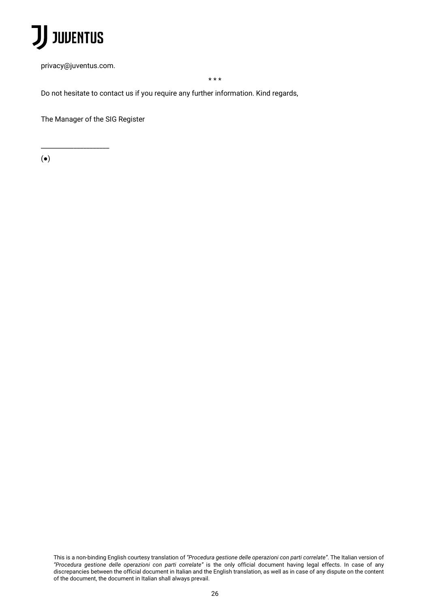

privacy@juventus.com.

\_\_\_\_\_\_\_\_\_\_\_\_\_\_\_\_\_\_\_\_\_

\* \* \*

Do not hesitate to contact us if you require any further information. Kind regards,

The Manager of the SIG Register

(●)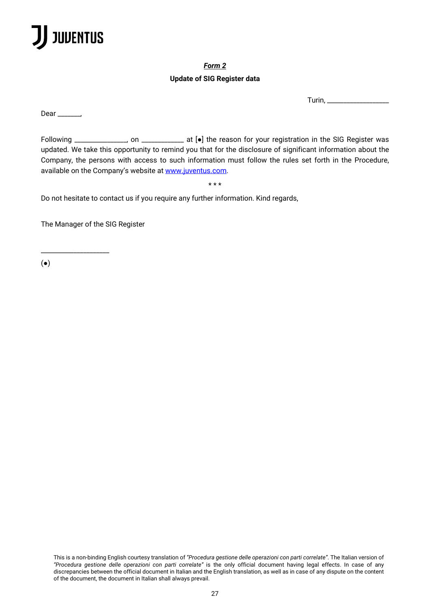

*Form 2* 

### **Update of SIG Register data**

Turin, \_\_\_\_\_\_\_\_\_\_\_\_\_\_\_\_\_\_\_

Dear \_\_\_\_\_\_\_,

Following \_\_\_\_\_\_\_\_\_\_\_\_\_\_\_\_, on \_\_\_\_\_\_\_\_\_\_\_\_\_ at [●] the reason for your registration in the SIG Register was updated. We take this opportunity to remind you that for the disclosure of significant information about the Company, the persons with access to such information must follow the rules set forth in the Procedure, available on the Company's website at www.juventus.com.

\* \* \*

Do not hesitate to contact us if you require any further information. Kind regards,

The Manager of the SIG Register

\_\_\_\_\_\_\_\_\_\_\_\_\_\_\_\_\_\_\_\_\_

(●)

This is a non-binding English courtesy translation of *"Procedura gestione delle operazioni con parti correlate"*. The Italian version of *"Procedura gestione delle operazioni con parti correlate"* is the only official document having legal effects. In case of any discrepancies between the official document in Italian and the English translation, as well as in case of any dispute on the content of the document, the document in Italian shall always prevail.